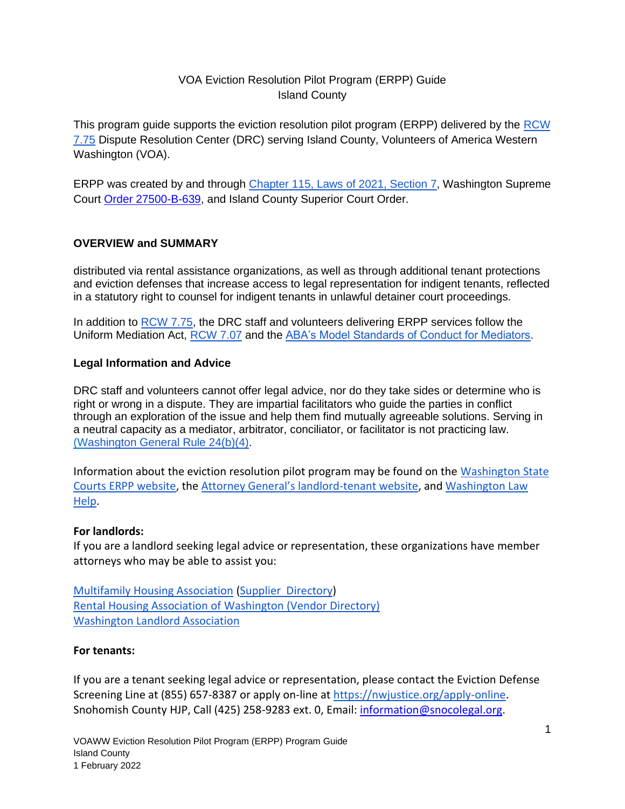# VOA Eviction Resolution Pilot Program (ERPP) Guide Island County

This program guide supports the eviction resolution pilot program (ERPP) delivered by the [RCW](https://app.leg.wa.gov/rcw/default.aspx?cite=7.75&full=true)  [7.75](https://app.leg.wa.gov/rcw/default.aspx?cite=7.75&full=true) Dispute Resolution Center (DRC) serving Island County, Volunteers of America Western Washington (VOA).

ERPP was created by and through [Chapter 115, Laws of 2021, Section 7,](https://lawfilesext.leg.wa.gov/biennium/2021-22/Pdf/Bills/Session%20Laws/Senate/5160-S2.SL.pdf?q=20210930123212) Washington Supreme Court [Order 27500-B-639,](http://www.courts.wa.gov/content/publicUpload/Supreme%20Court%20Orders/EvictionsResolutionProgramAuthorizingOrder090920.pdf) and Island County Superior Court Order.

## **OVERVIEW and SUMMARY**

distributed via rental assistance organizations, as well as through additional tenant protections and eviction defenses that increase access to legal representation for indigent tenants, reflected in a statutory right to counsel for indigent tenants in unlawful detainer court proceedings.

In addition to [RCW 7.75,](https://app.leg.wa.gov/rcw/default.aspx?cite=7.75) the DRC staff and volunteers delivering ERPP services follow the Uniform Mediation Act, [RCW 7.07](https://app.leg.wa.gov/rcw/default.aspx?cite=7.07) and the [ABA's Model Standards of Conduct for Mediators.](https://www.americanbar.org/content/dam/aba/administrative/dispute_resolution/dispute_resolution/model_standards_conduct_april2007.pdf)

## **Legal Information and Advice**

DRC staff and volunteers cannot offer legal advice, nor do they take sides or determine who is right or wrong in a dispute. They are impartial facilitators who guide the parties in conflict through an exploration of the issue and help them find mutually agreeable solutions. Serving in a neutral capacity as a mediator, arbitrator, conciliator, or facilitator is not practicing law. ([Washington General Rule 24\(b\)\(4\).](https://www.courts.wa.gov/court_rules/pdf/GR/GA_GR_24_00_00.pdf)

Information about the eviction resolution pilot program may be found on the [Washington State](https://www.courts.wa.gov/newsinfo/index.cfm?fa=newsinfo.EvictionResolutionProgram)  [Courts ERPP website,](https://www.courts.wa.gov/newsinfo/index.cfm?fa=newsinfo.EvictionResolutionProgram) the [Attorney General's landlord](https://www.atg.wa.gov/landlord-tenant)-tenant website, and [Washington Law](https://www.washingtonlawhelp.org/resource/washington-state-new-2021-landlordtenant-legislation)  [Help.](https://www.washingtonlawhelp.org/resource/washington-state-new-2021-landlordtenant-legislation)

## **For landlords:**

If you are a landlord seeking legal advice or representation, these organizations have member attorneys who may be able to assist you:

[Multifamily Housing Association](https://www.wmfha.org/) (Supplier [Directory\)](https://www.wmfha.org/statewide-supplier-directory) [Rental Housing Association of Washington](https://www.rhawa.org/) [\(Vendor Directory\)](https://www.rhawa.org/vendor-directory/attorneys) [Washington Landlord Association](https://www.walandlord.org/)

#### **For tenants:**

If you are a tenant seeking legal advice or representation, please contact the Eviction Defense Screening Line at (855) 657-8387 or apply on-line at [https://nwjustice.org/apply-online.](https://nwjustice.org/apply-online) Snohomish County HJP, Call (425) 258-9283 ext. 0, Email: [information@snocolegal.org.](mailto:information@snocolegal.org)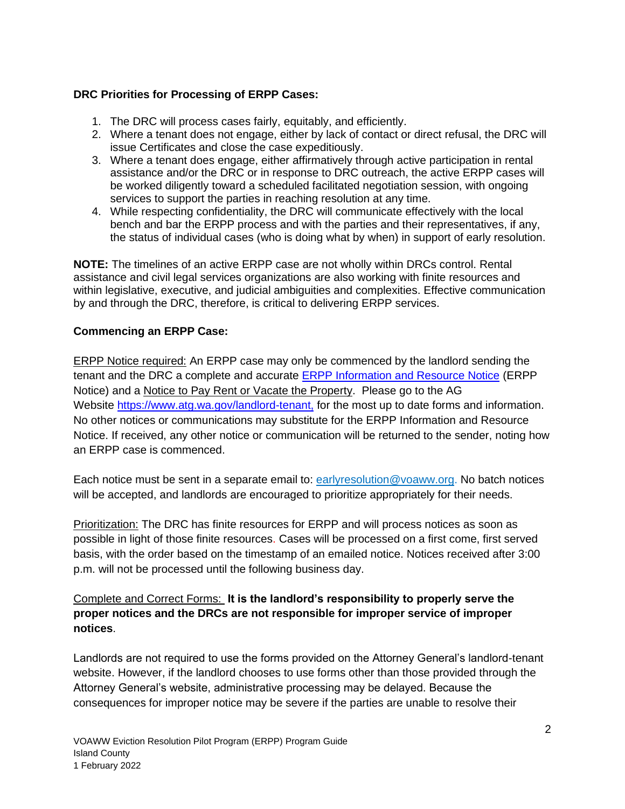## **DRC Priorities for Processing of ERPP Cases:**

- 1. The DRC will process cases fairly, equitably, and efficiently.
- 2. Where a tenant does not engage, either by lack of contact or direct refusal, the DRC will issue Certificates and close the case expeditiously.
- 3. Where a tenant does engage, either affirmatively through active participation in rental assistance and/or the DRC or in response to DRC outreach, the active ERPP cases will be worked diligently toward a scheduled facilitated negotiation session, with ongoing services to support the parties in reaching resolution at any time.
- 4. While respecting confidentiality, the DRC will communicate effectively with the local bench and bar the ERPP process and with the parties and their representatives, if any, the status of individual cases (who is doing what by when) in support of early resolution.

**NOTE:** The timelines of an active ERPP case are not wholly within DRCs control. Rental assistance and civil legal services organizations are also working with finite resources and within legislative, executive, and judicial ambiguities and complexities. Effective communication by and through the DRC, therefore, is critical to delivering ERPP services.

## **Commencing an ERPP Case:**

ERPP Notice required: An ERPP case may only be commenced by the landlord sending the tenant and the DRC a complete and accurate **ERPP Information and Resource Notice (ERPP** Notice) and a Notice to Pay Rent or Vacate the Property. Please go to the AG Website [https://www.atg.wa.gov/landlord-tenant,](http://www.atg.wa.gov/landlord-tenant) for the most up to date forms and information. No other notices or communications may substitute for the ERPP Information and Resource Notice. If received, any other notice or communication will be returned to the sender, noting how an ERPP case is commenced.

Each notice must be sent in a separate email to: [earlyresolution@voaww.org.](mailto:earlyresolution@voaww.org) No batch notices will be accepted, and landlords are encouraged to prioritize appropriately for their needs.

Prioritization: The DRC has finite resources for ERPP and will process notices as soon as possible in light of those finite resources. Cases will be processed on a first come, first served basis, with the order based on the timestamp of an emailed notice. Notices received after 3:00 p.m. will not be processed until the following business day.

## Complete and Correct Forms: **It is the landlord's responsibility to properly serve the proper notices and the DRCs are not responsible for improper service of improper notices**.

Landlords are not required to use the forms provided on the Attorney General's landlord-tenant website. However, if the landlord chooses to use forms other than those provided through the Attorney General's website, administrative processing may be delayed. Because the consequences for improper notice may be severe if the parties are unable to resolve their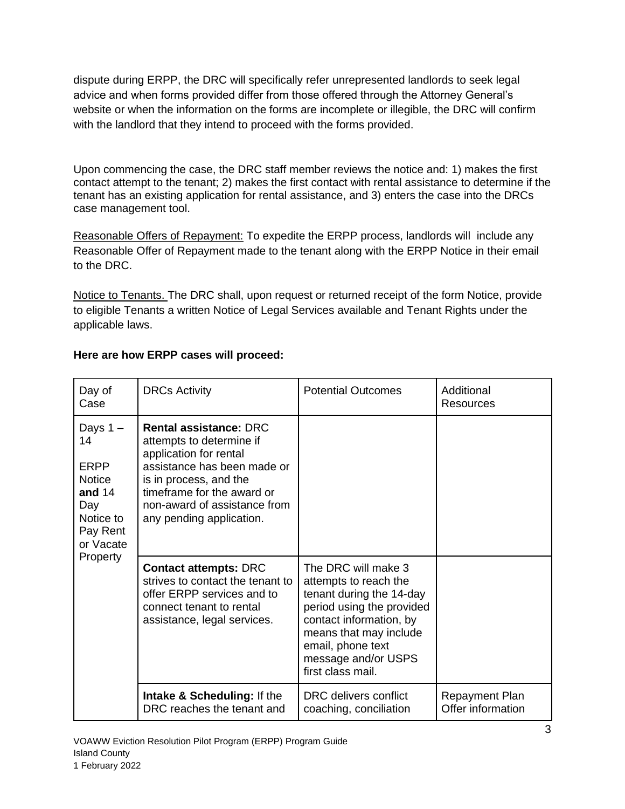dispute during ERPP, the DRC will specifically refer unrepresented landlords to seek legal advice and when forms provided differ from those offered through the Attorney General's website or when the information on the forms are incomplete or illegible, the DRC will confirm with the landlord that they intend to proceed with the forms provided.

Upon commencing the case, the DRC staff member reviews the notice and: 1) makes the first contact attempt to the tenant; 2) makes the first contact with rental assistance to determine if the tenant has an existing application for rental assistance, and 3) enters the case into the DRCs case management tool.

Reasonable Offers of Repayment: To expedite the ERPP process, landlords will include any Reasonable Offer of Repayment made to the tenant along with the ERPP Notice in their email to the DRC.

Notice to Tenants. The DRC shall, upon request or returned receipt of the form Notice, provide to eligible Tenants a written Notice of Legal Services available and Tenant Rights under the applicable laws.

| Day of<br>Case                                                                                                        | <b>DRCs Activity</b>                                                                                                                                                                                                                   | <b>Potential Outcomes</b>                                                                                                                                                                                                   | Additional<br>Resources                    |
|-----------------------------------------------------------------------------------------------------------------------|----------------------------------------------------------------------------------------------------------------------------------------------------------------------------------------------------------------------------------------|-----------------------------------------------------------------------------------------------------------------------------------------------------------------------------------------------------------------------------|--------------------------------------------|
| Days $1 -$<br>14<br><b>ERPP</b><br><b>Notice</b><br>and $14$<br>Day<br>Notice to<br>Pay Rent<br>or Vacate<br>Property | <b>Rental assistance: DRC</b><br>attempts to determine if<br>application for rental<br>assistance has been made or<br>is in process, and the<br>timeframe for the award or<br>non-award of assistance from<br>any pending application. |                                                                                                                                                                                                                             |                                            |
|                                                                                                                       | <b>Contact attempts: DRC</b><br>strives to contact the tenant to<br>offer ERPP services and to<br>connect tenant to rental<br>assistance, legal services.                                                                              | The DRC will make 3<br>attempts to reach the<br>tenant during the 14-day<br>period using the provided<br>contact information, by<br>means that may include<br>email, phone text<br>message and/or USPS<br>first class mail. |                                            |
|                                                                                                                       | <b>Intake &amp; Scheduling: If the</b><br>DRC reaches the tenant and                                                                                                                                                                   | DRC delivers conflict<br>coaching, conciliation                                                                                                                                                                             | <b>Repayment Plan</b><br>Offer information |

# **Here are how ERPP cases will proceed:**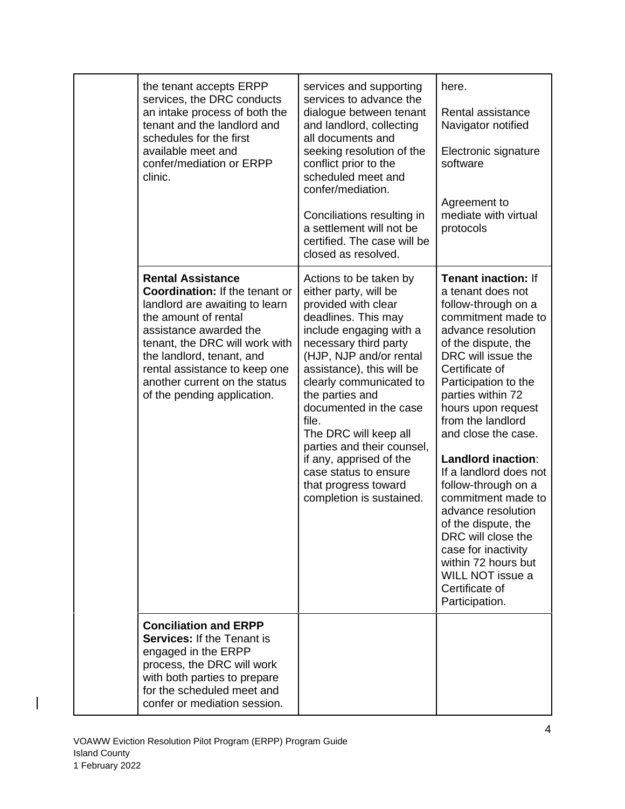| the tenant accepts ERPP<br>services, the DRC conducts<br>an intake process of both the<br>tenant and the landlord and<br>schedules for the first<br>available meet and<br>confer/mediation or ERPP<br>clinic.                                                                                                         | services and supporting<br>services to advance the<br>dialogue between tenant<br>and landlord, collecting<br>all documents and<br>seeking resolution of the<br>conflict prior to the<br>scheduled meet and<br>confer/mediation.<br>Conciliations resulting in<br>a settlement will not be<br>certified. The case will be<br>closed as resolved.                                                                                                           | here.<br>Rental assistance<br>Navigator notified<br>Electronic signature<br>software<br>Agreement to<br>mediate with virtual<br>protocols                                                                                                                                                                                                                                                                                                                                                                                                                              |
|-----------------------------------------------------------------------------------------------------------------------------------------------------------------------------------------------------------------------------------------------------------------------------------------------------------------------|-----------------------------------------------------------------------------------------------------------------------------------------------------------------------------------------------------------------------------------------------------------------------------------------------------------------------------------------------------------------------------------------------------------------------------------------------------------|------------------------------------------------------------------------------------------------------------------------------------------------------------------------------------------------------------------------------------------------------------------------------------------------------------------------------------------------------------------------------------------------------------------------------------------------------------------------------------------------------------------------------------------------------------------------|
| <b>Rental Assistance</b><br><b>Coordination: If the tenant or</b><br>landlord are awaiting to learn<br>the amount of rental<br>assistance awarded the<br>tenant, the DRC will work with<br>the landlord, tenant, and<br>rental assistance to keep one<br>another current on the status<br>of the pending application. | Actions to be taken by<br>either party, will be<br>provided with clear<br>deadlines. This may<br>include engaging with a<br>necessary third party<br>(HJP, NJP and/or rental<br>assistance), this will be<br>clearly communicated to<br>the parties and<br>documented in the case<br>file.<br>The DRC will keep all<br>parties and their counsel,<br>if any, apprised of the<br>case status to ensure<br>that progress toward<br>completion is sustained. | <b>Tenant inaction: If</b><br>a tenant does not<br>follow-through on a<br>commitment made to<br>advance resolution<br>of the dispute, the<br>DRC will issue the<br>Certificate of<br>Participation to the<br>parties within 72<br>hours upon request<br>from the landlord<br>and close the case.<br>Landlord inaction:<br>If a landlord does not<br>follow-through on a<br>commitment made to<br>advance resolution<br>of the dispute, the<br>DRC will close the<br>case for inactivity<br>within 72 hours but<br>WILL NOT issue a<br>Certificate of<br>Participation. |
| <b>Conciliation and ERPP</b><br><b>Services: If the Tenant is</b><br>engaged in the ERPP<br>process, the DRC will work<br>with both parties to prepare<br>for the scheduled meet and<br>confer or mediation session.                                                                                                  |                                                                                                                                                                                                                                                                                                                                                                                                                                                           |                                                                                                                                                                                                                                                                                                                                                                                                                                                                                                                                                                        |

 $\begin{array}{c} \rule{0pt}{2ex} \rule{0pt}{2ex} \rule{0pt}{2ex} \rule{0pt}{2ex} \rule{0pt}{2ex} \rule{0pt}{2ex} \rule{0pt}{2ex} \rule{0pt}{2ex} \rule{0pt}{2ex} \rule{0pt}{2ex} \rule{0pt}{2ex} \rule{0pt}{2ex} \rule{0pt}{2ex} \rule{0pt}{2ex} \rule{0pt}{2ex} \rule{0pt}{2ex} \rule{0pt}{2ex} \rule{0pt}{2ex} \rule{0pt}{2ex} \rule{0pt}{2ex} \rule{0pt}{2ex} \rule{0pt}{2ex} \rule{0pt}{2ex} \rule{0pt}{$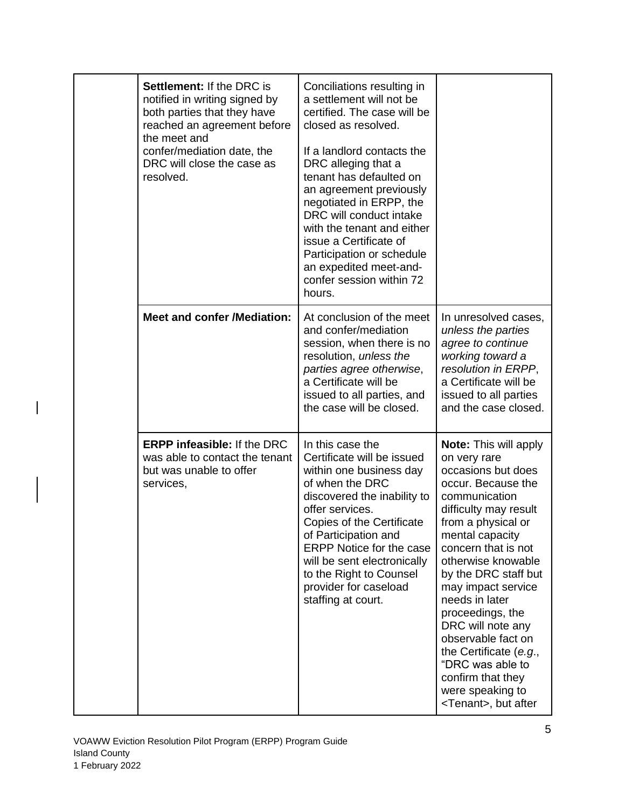| <b>Settlement: If the DRC is</b><br>notified in writing signed by<br>both parties that they have<br>reached an agreement before<br>the meet and<br>confer/mediation date, the<br>DRC will close the case as<br>resolved. | Conciliations resulting in<br>a settlement will not be<br>certified. The case will be<br>closed as resolved.<br>If a landlord contacts the<br>DRC alleging that a<br>tenant has defaulted on<br>an agreement previously<br>negotiated in ERPP, the<br>DRC will conduct intake<br>with the tenant and either<br>issue a Certificate of<br>Participation or schedule<br>an expedited meet-and-<br>confer session within 72<br>hours. |                                                                                                                                                                                                                                                                                                                                                                                                                                                                                |
|--------------------------------------------------------------------------------------------------------------------------------------------------------------------------------------------------------------------------|------------------------------------------------------------------------------------------------------------------------------------------------------------------------------------------------------------------------------------------------------------------------------------------------------------------------------------------------------------------------------------------------------------------------------------|--------------------------------------------------------------------------------------------------------------------------------------------------------------------------------------------------------------------------------------------------------------------------------------------------------------------------------------------------------------------------------------------------------------------------------------------------------------------------------|
| <b>Meet and confer /Mediation:</b>                                                                                                                                                                                       | At conclusion of the meet<br>and confer/mediation<br>session, when there is no<br>resolution, unless the<br>parties agree otherwise,<br>a Certificate will be<br>issued to all parties, and<br>the case will be closed.                                                                                                                                                                                                            | In unresolved cases,<br>unless the parties<br>agree to continue<br>working toward a<br>resolution in ERPP,<br>a Certificate will be<br>issued to all parties<br>and the case closed.                                                                                                                                                                                                                                                                                           |
| <b>ERPP infeasible: If the DRC</b><br>was able to contact the tenant<br>but was unable to offer<br>services,                                                                                                             | In this case the<br>Certificate will be issued<br>within one business day<br>of when the DRC<br>discovered the inability to<br>offer services.<br>Copies of the Certificate<br>of Participation and<br><b>ERPP Notice for the case</b><br>will be sent electronically<br>to the Right to Counsel<br>provider for caseload<br>staffing at court.                                                                                    | <b>Note:</b> This will apply<br>on very rare<br>occasions but does<br>occur. Because the<br>communication<br>difficulty may result<br>from a physical or<br>mental capacity<br>concern that is not<br>otherwise knowable<br>by the DRC staff but<br>may impact service<br>needs in later<br>proceedings, the<br>DRC will note any<br>observable fact on<br>the Certificate (e.g.,<br>"DRC was able to<br>confirm that they<br>were speaking to<br><tenant>, but after</tenant> |

 $\overline{\phantom{a}}$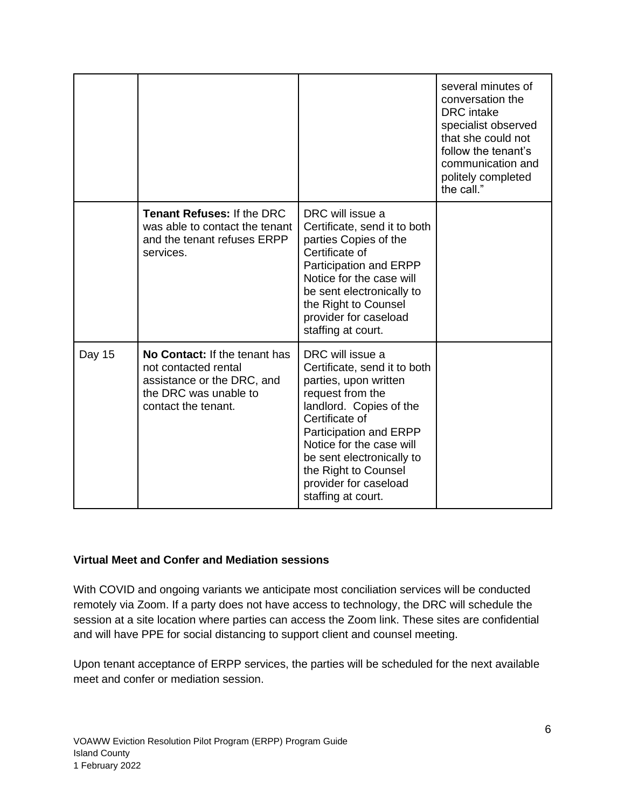|        |                                                                                                                                     |                                                                                                                                                                                                                                                                                                      | several minutes of<br>conversation the<br><b>DRC</b> intake<br>specialist observed<br>that she could not<br>follow the tenant's<br>communication and<br>politely completed<br>the call." |
|--------|-------------------------------------------------------------------------------------------------------------------------------------|------------------------------------------------------------------------------------------------------------------------------------------------------------------------------------------------------------------------------------------------------------------------------------------------------|------------------------------------------------------------------------------------------------------------------------------------------------------------------------------------------|
|        | <b>Tenant Refuses: If the DRC</b><br>was able to contact the tenant<br>and the tenant refuses ERPP<br>services.                     | DRC will issue a<br>Certificate, send it to both<br>parties Copies of the<br>Certificate of<br>Participation and ERPP<br>Notice for the case will<br>be sent electronically to<br>the Right to Counsel<br>provider for caseload<br>staffing at court.                                                |                                                                                                                                                                                          |
| Day 15 | No Contact: If the tenant has<br>not contacted rental<br>assistance or the DRC, and<br>the DRC was unable to<br>contact the tenant. | DRC will issue a<br>Certificate, send it to both<br>parties, upon written<br>request from the<br>landlord. Copies of the<br>Certificate of<br>Participation and ERPP<br>Notice for the case will<br>be sent electronically to<br>the Right to Counsel<br>provider for caseload<br>staffing at court. |                                                                                                                                                                                          |

#### **Virtual Meet and Confer and Mediation sessions**

With COVID and ongoing variants we anticipate most conciliation services will be conducted remotely via Zoom. If a party does not have access to technology, the DRC will schedule the session at a site location where parties can access the Zoom link. These sites are confidential and will have PPE for social distancing to support client and counsel meeting.

Upon tenant acceptance of ERPP services, the parties will be scheduled for the next available meet and confer or mediation session.